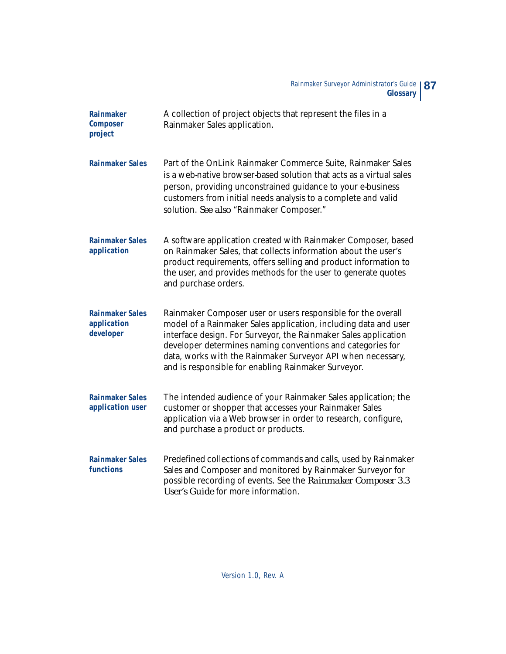| Rainmaker<br>Composer<br>project                   | A collection of project objects that represent the files in a<br>Rainmaker Sales application.                                                                                                                                                                                                                                                                                          |
|----------------------------------------------------|----------------------------------------------------------------------------------------------------------------------------------------------------------------------------------------------------------------------------------------------------------------------------------------------------------------------------------------------------------------------------------------|
| <b>Rainmaker Sales</b>                             | Part of the OnLink Rainmaker Commerce Suite, Rainmaker Sales<br>is a web-native browser-based solution that acts as a virtual sales<br>person, providing unconstrained guidance to your e-business<br>customers from initial needs analysis to a complete and valid<br>solution. See also "Rainmaker Composer."                                                                        |
| <b>Rainmaker Sales</b><br>application              | A software application created with Rainmaker Composer, based<br>on Rainmaker Sales, that collects information about the user's<br>product requirements, offers selling and product information to<br>the user, and provides methods for the user to generate quotes<br>and purchase orders.                                                                                           |
| <b>Rainmaker Sales</b><br>application<br>developer | Rainmaker Composer user or users responsible for the overall<br>model of a Rainmaker Sales application, including data and user<br>interface design. For Surveyor, the Rainmaker Sales application<br>developer determines naming conventions and categories for<br>data, works with the Rainmaker Surveyor API when necessary,<br>and is responsible for enabling Rainmaker Surveyor. |
| <b>Rainmaker Sales</b><br>application user         | The intended audience of your Rainmaker Sales application; the<br>customer or shopper that accesses your Rainmaker Sales<br>application via a Web browser in order to research, configure,<br>and purchase a product or products.                                                                                                                                                      |
| <b>Rainmaker Sales</b><br>functions                | Predefined collections of commands and calls, used by Rainmaker<br>Sales and Composer and monitored by Rainmaker Surveyor for<br>possible recording of events. See the Rainmaker Composer 3.3<br>User's Guide for more information.                                                                                                                                                    |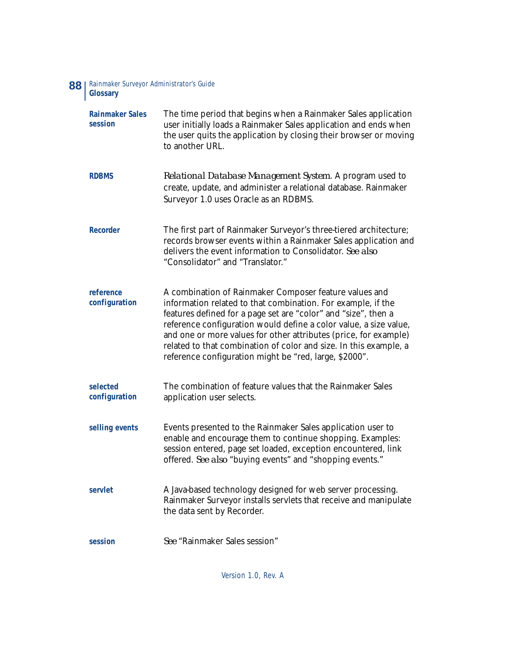## Rainmaker Surveyor Administrator's Guide **88** | Rainmake

| <b>Rainmaker Sales</b><br>session | The time period that begins when a Rainmaker Sales application<br>user initially loads a Rainmaker Sales application and ends when<br>the user quits the application by closing their browser or moving<br>to another URL.                                                                                                                                                                                                                                       |
|-----------------------------------|------------------------------------------------------------------------------------------------------------------------------------------------------------------------------------------------------------------------------------------------------------------------------------------------------------------------------------------------------------------------------------------------------------------------------------------------------------------|
| <b>RDBMS</b>                      | Relational Database Management System. A program used to<br>create, update, and administer a relational database. Rainmaker<br>Surveyor 1.0 uses Oracle as an RDBMS.                                                                                                                                                                                                                                                                                             |
| Recorder                          | The first part of Rainmaker Surveyor's three-tiered architecture;<br>records browser events within a Rainmaker Sales application and<br>delivers the event information to Consolidator. See also<br>"Consolidator" and "Translator."                                                                                                                                                                                                                             |
| reference<br>configuration        | A combination of Rainmaker Composer feature values and<br>information related to that combination. For example, if the<br>features defined for a page set are "color" and "size", then a<br>reference configuration would define a color value, a size value,<br>and one or more values for other attributes (price, for example)<br>related to that combination of color and size. In this example, a<br>reference configuration might be "red, large, \$2000". |
| selected<br>configuration         | The combination of feature values that the Rainmaker Sales<br>application user selects.                                                                                                                                                                                                                                                                                                                                                                          |
| selling events                    | Events presented to the Rainmaker Sales application user to<br>enable and encourage them to continue shopping. Examples:<br>session entered, page set loaded, exception encountered, link<br>offered. See also "buying events" and "shopping events."                                                                                                                                                                                                            |
| servlet                           | A Java-based technology designed for web server processing.<br>Rainmaker Surveyor installs servlets that receive and manipulate<br>the data sent by Recorder.                                                                                                                                                                                                                                                                                                    |
| session                           | See "Rainmaker Sales session"                                                                                                                                                                                                                                                                                                                                                                                                                                    |